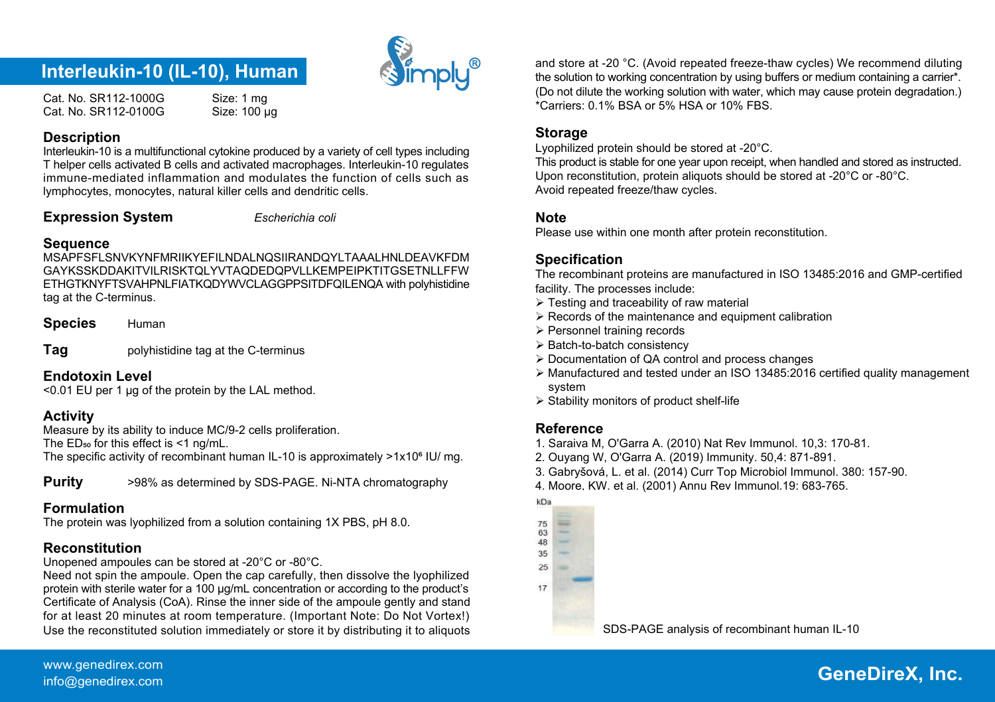

Cat. No. SR112-1000G Size: 1 mg<br>Cat. No. SR112-0100G Size: 100 ug Cat. No. SR112-0100G

#### **Description**

Interleukin-10 is a multifunctional cytokine produced by a variety of cell types including T helper cells activated B cells and activated macrophages. Interleukin-10 regulates immune-mediated inflammation and modulates the function of cells such as lymphocytes, monocytes, natural killer cells and dendritic cells.

#### **Expression System** *Escherichia coli*

#### **Sequence**

MSAPFSFLSNVKYNFMRIIKYEFILNDALNQSIIRANDQYLTAAALHNLDEAVKFDM GAYKSSKDDAKITVILRISKTOLYVTAQDEDQPVLLKEMPEIPKTITGSETNLLEFW ETHGTKNYFTSVAHPNLFIATKQDYWVCLAGGPPSITDFQILENQA with polyhistidine tag at the C-terminus.

**Species** Human

**Tag** polyhistidine tag at the C-terminus

#### **Endotoxin Level**

<0.01 EU per 1 μg of the protein by the LAL method.

# **Activity**

Measure by its ability to induce MC/9-2 cells proliferation. The  $ED_{50}$  for this effect is  $\leq 1$  ng/mL. The specific activity of recombinant human IL-10 is approximately  $>1x10<sup>6</sup>$  IU/ mg.

**Purity**  $>98\%$  as determined by SDS-PAGE. Ni-NTA chromatography

# **Formulation**

The protein was lyophilized from a solution containing 1X PBS, pH 8.0.

# **Reconstitution**

Unopened ampoules can be stored at -20°C or -80°C.

Need not spin the ampoule. Open the cap carefully, then dissolve the lyophilized protein with sterile water for a 100 μg/mL concentration or according to the product's Certificate of Analysis (CoA). Rinse the inner side of the ampoule gently and stand for at least 20 minutes at room temperature. (Important Note: Do Not Vortex!) Use the reconstituted solution immediately or store it by distributing it to aliquots SDS-PAGE analysis of recombinant human IL-10

**Interleukin-10 (IL-10), Human** (  $\sum_{i=1}^{\infty}$  **a**nd store at -20 °C. (Avoid repeated freeze-thaw cycles) We recommend diluting ( a carrier\*. (Do not dilute the working solution with water, which may cause protein degradation.) \*Carriers: 0.1% BSA or 5% HSA or 10% FBS.

# **Storage**

Lyophilized protein should be stored at -20°C.

This product is stable for one year upon receipt, when handled and stored as instructed. Upon reconstitution, protein aliquots should be stored at -20°C or -80°C. Avoid repeated freeze/thaw cycles.

#### **Note**

Please use within one month after protein reconstitution.

# **Specification**

The recombinant proteins are manufactured in ISO 13485:2016 and GMP-certified facility. The processes include:

- Testing and traceability of raw material
- $\triangleright$  Records of the maintenance and equipment calibration
- > Personnel training records
- $\triangleright$  Batch-to-batch consistency
- Documentation of QA control and process changes
- Manufactured and tested under an ISO 13485:2016 certified quality management system
- $\triangleright$  Stability monitors of product shelf-life

# **Reference**

- 1. Saraiva M, O'Garra A. (2010) Nat Rev Immunol. 10,3: 170-81.
- 2. Ouyang W, O'Garra A. (2019) Immunity. 50,4: 871-891.
- 3. Gabryšová, L. et al. (2014) Curr Top Microbiol Immunol. 380: 157-90.
- 4. Moore, KW. et al. (2001) Annu Rev Immunol.19: 683-765.